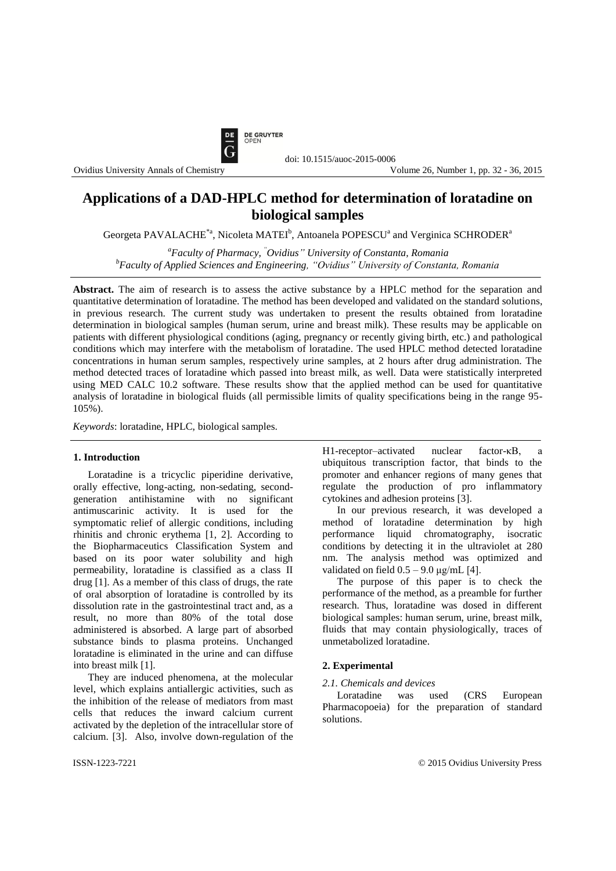

# **Applications of a DAD-HPLC method for determination of loratadine on biological samples**

Georgeta PAVALACHE<sup>\*a</sup>, Nicoleta MATEI<sup>b</sup>, Antoanela POPESCU<sup>a</sup> and Verginica SCHRODER<sup>a</sup>

*<sup>a</sup>Faculty of Pharmacy, "Ovidius" University of Constanta, Romania <sup>b</sup>Faculty of Applied Sciences and Engineering, "Ovidius" University of Constanta, Romania*

**Abstract.** The aim of research is to assess the active substance by a HPLC method for the separation and quantitative determination of loratadine. The method has been developed and validated on the standard solutions, in previous research. The current study was undertaken to present the results obtained from loratadine determination in biological samples (human serum, urine and breast milk). These results may be applicable on patients with different physiological conditions (aging, pregnancy or recently giving birth, etc.) and pathological conditions which may interfere with the metabolism of loratadine. The used HPLC method detected loratadine concentrations in human serum samples, respectively urine samples, at 2 hours after drug administration. The method detected traces of loratadine which passed into breast milk, as well. Data were statistically interpreted using MED CALC 10.2 software. These results show that the applied method can be used for quantitative analysis of loratadine in biological fluids (all permissible limits of quality specifications being in the range 95- 105%).

*Keywords*: loratadine, HPLC, biological samples.

#### **1. Introduction**

Loratadine is a tricyclic piperidine derivative, orally effective, long-acting, non-sedating, secondgeneration antihistamine with no significant antimuscarinic activity. It is used for the symptomatic relief of allergic conditions, including rhinitis and chronic erythema [1, 2]. According to the Biopharmaceutics Classification System and based on its poor water solubility and high permeability, loratadine is classified as a class II drug [1]. As a member of this class of drugs, the rate of oral absorption of loratadine is controlled by its dissolution rate in the gastrointestinal tract and, as a result, no more than 80% of the total dose administered is absorbed. A large part of absorbed substance binds to plasma proteins. Unchanged loratadine is eliminated in the urine and can diffuse into breast milk [1].

They are induced phenomena, at the molecular level, which explains antiallergic activities, such as the inhibition of the release of mediators from mast cells that reduces the inward calcium current activated by the depletion of the intracellular store of calcium. [3]. Also, involve down-regulation of the H1-receptor–activated nuclear factor-κB, a ubiquitous transcription factor, that binds to the promoter and enhancer regions of many genes that regulate the production of pro inflammatory cytokines and adhesion proteins [3].

In our previous research, it was developed a method of loratadine determination by high performance liquid chromatography, isocratic conditions by detecting it in the ultraviolet at 280 nm. The analysis method was optimized and validated on field  $0.5 - 9.0 \mu g/mL$  [4].

The purpose of this paper is to check the performance of the method, as a preamble for further research. Thus, loratadine was dosed in different biological samples: human serum, urine, breast milk, fluids that may contain physiologically, traces of unmetabolized loratadine.

## **2. Experimental**

#### *2.1. Chemicals and devices*

Loratadine was used (CRS European Pharmacopoeia) for the preparation of standard solutions.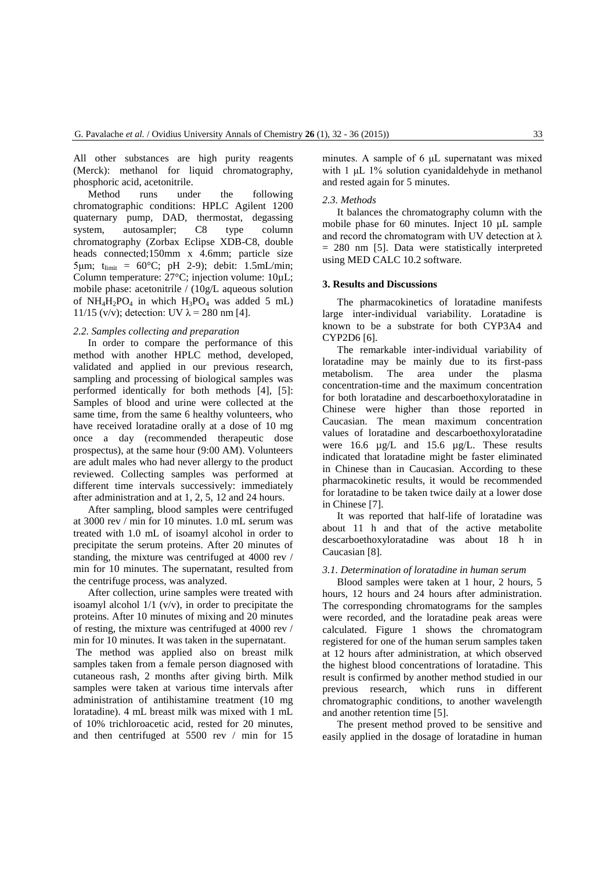All other substances are high purity reagents (Merck): methanol for liquid chromatography, phosphoric acid, acetonitrile.

Method runs under the following chromatographic conditions: HPLC Agilent 1200 quaternary pump, DAD, thermostat, degassing system, autosampler; C8 type column chromatography (Zorbax Eclipse XDB-C8, double heads connected;150mm x 4.6mm; particle size  $5 \mu m$ ;  $t_{\text{limit}} = 60^{\circ}C$ ; pH 2-9); debit: 1.5mL/min; Column temperature: 27°C; injection volume: 10µL; mobile phase: acetonitrile / (10g/L aqueous solution of  $NH_4H_2PO_4$  in which  $H_3PO_4$  was added 5 mL) 11/15 (v/v); detection: UV  $\lambda$  = 280 nm [4].

## *2.2. Samples collecting and preparation*

In order to compare the performance of this method with another HPLC method, developed, validated and applied in our previous research, sampling and processing of biological samples was performed identically for both methods [4], [5]: Samples of blood and urine were collected at the same time, from the same 6 healthy volunteers, who have received loratadine orally at a dose of 10 mg once a day (recommended therapeutic dose prospectus), at the same hour (9:00 AM). Volunteers are adult males who had never allergy to the product reviewed. Collecting samples was performed at different time intervals successively: immediately after administration and at 1, 2, 5, 12 and 24 hours.

After sampling, blood samples were centrifuged at 3000 rev / min for 10 minutes. 1.0 mL serum was treated with 1.0 mL of isoamyl alcohol in order to precipitate the serum proteins. After 20 minutes of standing, the mixture was centrifuged at 4000 rev / min for 10 minutes. The supernatant, resulted from the centrifuge process, was analyzed.

After collection, urine samples were treated with isoamyl alcohol 1/1 (v/v), in order to precipitate the proteins. After 10 minutes of mixing and 20 minutes of resting, the mixture was centrifuged at 4000 rev / min for 10 minutes. It was taken in the supernatant.

The method was applied also on breast milk samples taken from a female person diagnosed with cutaneous rash, 2 months after giving birth. Milk samples were taken at various time intervals after administration of antihistamine treatment (10 mg loratadine). 4 mL breast milk was mixed with 1 mL of 10% trichloroacetic acid, rested for 20 minutes, and then centrifuged at 5500 rev / min for 15

minutes. A sample of 6 μL supernatant was mixed with 1 μL 1% solution cyanidaldehyde in methanol and rested again for 5 minutes.

## *2.3. Methods*

It balances the chromatography column with the mobile phase for 60 minutes. Inject 10 µL sample and record the chromatogram with UV detection at  $\lambda$ = 280 nm [5]. Data were statistically interpreted using MED CALC 10.2 software.

## **3. Results and Discussions**

The pharmacokinetics of loratadine manifests large inter-individual variability. Loratadine is known to be a substrate for both CYP3A4 and CYP2D6 [6].

The remarkable inter-individual variability of loratadine may be mainly due to its first-pass metabolism. The area under the plasma concentration-time and the maximum concentration for both loratadine and descarboethoxyloratadine in Chinese were higher than those reported in Caucasian. The mean maximum concentration values of loratadine and descarboethoxyloratadine were 16.6 µg/L and 15.6 µg/L. These results indicated that loratadine might be faster eliminated in Chinese than in Caucasian. According to these pharmacokinetic results, it would be recommended for loratadine to be taken twice daily at a lower dose in Chinese [7].

It was reported that half-life of loratadine was about 11 h and that of the active metabolite descarboethoxyloratadine was about 18 h in Caucasian [8].

#### *3.1. Determination of loratadine in human serum*

Blood samples were taken at 1 hour, 2 hours, 5 hours, 12 hours and 24 hours after administration. The corresponding chromatograms for the samples were recorded, and the loratadine peak areas were calculated. Figure 1 shows the chromatogram registered for one of the human serum samples taken at 12 hours after administration, at which observed the highest blood concentrations of loratadine. This result is confirmed by another method studied in our previous research, which runs in different chromatographic conditions, to another wavelength and another retention time [5].

The present method proved to be sensitive and easily applied in the dosage of loratadine in human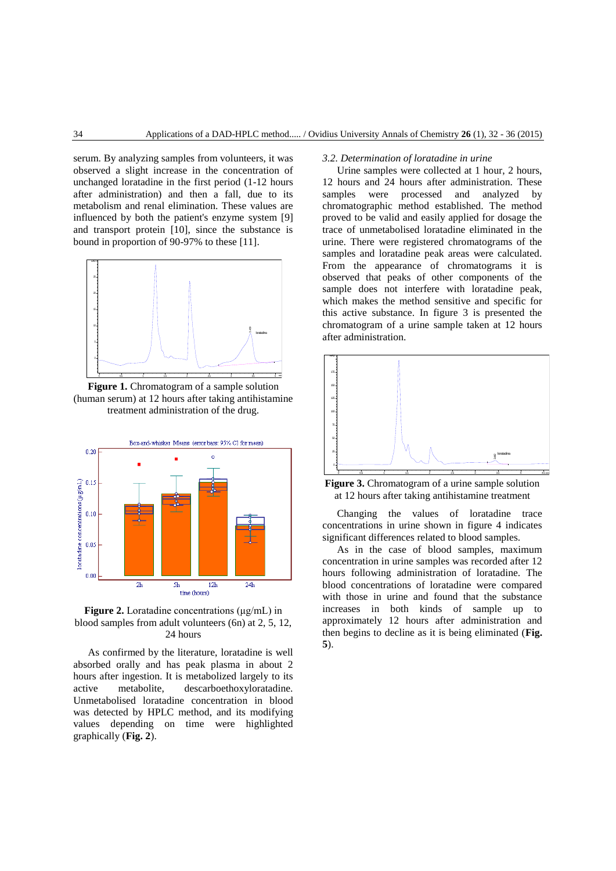serum. By analyzing samples from volunteers, it was observed a slight increase in the concentration of unchanged loratadine in the first period (1-12 hours after administration) and then a fall, due to its metabolism and renal elimination. These values are influenced by both the patient's enzyme system [9] and transport protein [10], since the substance is bound in proportion of 90-97% to these [11].



Figure 1. Chromatogram of a sample solution (human serum) at 12 hours after taking antihistamine treatment administration of the drug.



# **Figure 2.** Loratadine concentrations (μg/mL) in blood samples from adult volunteers (6n) at 2, 5, 12, 24 hours

As confirmed by the literature, loratadine is well absorbed orally and has peak plasma in about 2 hours after ingestion. It is metabolized largely to its active metabolite, descarboethoxyloratadine. Unmetabolised loratadine concentration in blood was detected by HPLC method, and its modifying values depending on time were highlighted graphically (**Fig. 2**).

## *3.2. Determination of loratadine in urine*

Urine samples were collected at 1 hour, 2 hours, 12 hours and 24 hours after administration. These samples were processed and analyzed by chromatographic method established. The method proved to be valid and easily applied for dosage the trace of unmetabolised loratadine eliminated in the urine. There were registered chromatograms of the samples and loratadine peak areas were calculated. From the appearance of chromatograms it is observed that peaks of other components of the sample does not interfere with loratadine peak, which makes the method sensitive and specific for this active substance. In figure 3 is presented the chromatogram of a urine sample taken at 12 hours after administration.



Figure 3. Chromatogram of a urine sample solution at 12 hours after taking antihistamine treatment

Changing the values of loratadine trace concentrations in urine shown in figure 4 indicates significant differences related to blood samples.

As in the case of blood samples, maximum concentration in urine samples was recorded after 12 hours following administration of loratadine. The blood concentrations of loratadine were compared with those in urine and found that the substance increases in both kinds of sample up to approximately 12 hours after administration and then begins to decline as it is being eliminated (**Fig. 5**).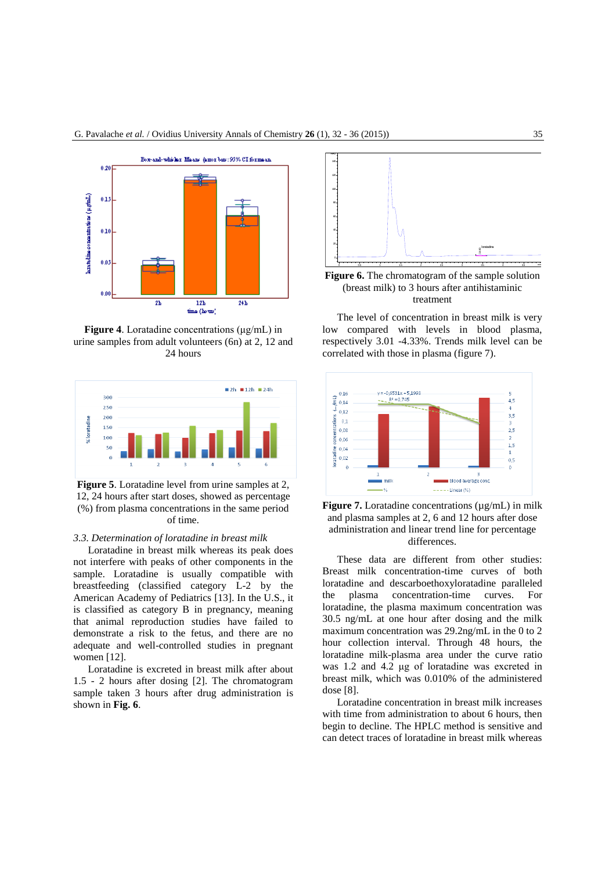

**Figure 4**. Loratadine concentrations (μg/mL) in urine samples from adult volunteers (6n) at 2, 12 and 24 hours



**Figure 5**. Loratadine level from urine samples at 2, 12, 24 hours after start doses, showed as percentage (%) from plasma concentrations in the same period of time.

## *3.3. Determination of loratadine in breast milk*

Loratadine in breast milk whereas its peak does not interfere with peaks of other components in the sample. Loratadine is usually compatible with breastfeeding (classified category L-2 by the American Academy of Pediatrics [13]. In the U.S., it is classified as category B in pregnancy, meaning that animal reproduction studies have failed to demonstrate a risk to the fetus, and there are no adequate and well-controlled studies in pregnant women [12].

Loratadine is excreted in breast milk after about 1.5 - 2 hours after dosing [2]. The chromatogram sample taken 3 hours after drug administration is shown in **Fig. 6**.



**Figure 6.** The chromatogram of the sample solution (breast milk) to 3 hours after antihistaminic treatment

The level of concentration in breast milk is very low compared with levels in blood plasma, respectively 3.01 -4.33%. Trends milk level can be correlated with those in plasma (figure 7).





These data are different from other studies: Breast milk concentration-time curves of both loratadine and descarboethoxyloratadine paralleled the plasma concentration-time curves. For loratadine, the plasma maximum concentration was 30.5 ng/mL at one hour after dosing and the milk maximum concentration was 29.2ng/mL in the 0 to 2 hour collection interval. Through 48 hours, the loratadine milk-plasma area under the curve ratio was 1.2 and 4.2 μg of loratadine was excreted in breast milk, which was 0.010% of the administered dose [8].

Loratadine concentration in breast milk increases with time from administration to about 6 hours, then begin to decline. The HPLC method is sensitive and can detect traces of loratadine in breast milk whereas